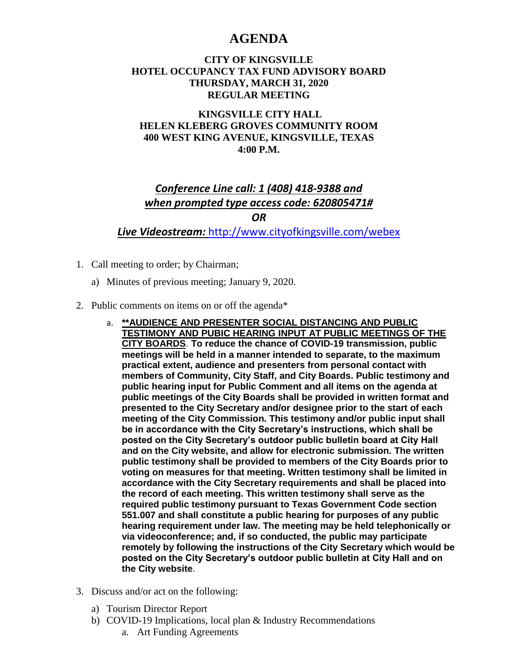## **AGENDA**

## **CITY OF KINGSVILLE HOTEL OCCUPANCY TAX FUND ADVISORY BOARD THURSDAY, MARCH 31, 2020 REGULAR MEETING**

## **KINGSVILLE CITY HALL HELEN KLEBERG GROVES COMMUNITY ROOM 400 WEST KING AVENUE, KINGSVILLE, TEXAS 4:00 P.M.**

## *Conference Line call: 1 (408) 418-9388 and when prompted type access code: 620805471# OR*

*Live Videostream:* <http://www.cityofkingsville.com/webex>

- 1. Call meeting to order; by Chairman;
	- a) Minutes of previous meeting; January 9, 2020.
- 2. Public comments on items on or off the agenda\*
	- a. **\*\*AUDIENCE AND PRESENTER SOCIAL DISTANCING AND PUBLIC TESTIMONY AND PUBIC HEARING INPUT AT PUBLIC MEETINGS OF THE CITY BOARDS**. **To reduce the chance of COVID-19 transmission, public meetings will be held in a manner intended to separate, to the maximum practical extent, audience and presenters from personal contact with members of Community, City Staff, and City Boards. Public testimony and public hearing input for Public Comment and all items on the agenda at public meetings of the City Boards shall be provided in written format and presented to the City Secretary and/or designee prior to the start of each meeting of the City Commission. This testimony and/or public input shall be in accordance with the City Secretary's instructions, which shall be posted on the City Secretary's outdoor public bulletin board at City Hall and on the City website, and allow for electronic submission. The written public testimony shall be provided to members of the City Boards prior to voting on measures for that meeting. Written testimony shall be limited in accordance with the City Secretary requirements and shall be placed into the record of each meeting. This written testimony shall serve as the required public testimony pursuant to Texas Government Code section 551.007 and shall constitute a public hearing for purposes of any public hearing requirement under law. The meeting may be held telephonically or via videoconference; and, if so conducted, the public may participate remotely by following the instructions of the City Secretary which would be posted on the City Secretary's outdoor public bulletin at City Hall and on the City website**.
- 3. Discuss and/or act on the following:
	- a) Tourism Director Report
	- b) COVID-19 Implications, local plan & Industry Recommendations
		- a. Art Funding Agreements